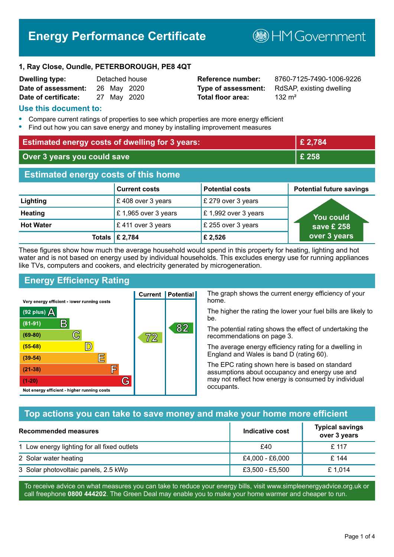# **Energy Performance Certificate**

**B**HM Government

#### **1, Ray Close, Oundle, PETERBOROUGH, PE8 4QT**

| Dwelling type:       |  | Detached house |
|----------------------|--|----------------|
| Date of assessment:  |  | 26 May 2020    |
| Date of certificate: |  | 27 May 2020    |

**Total floor area:** 232 m<sup>2</sup>

**Reference number:** 8760-7125-7490-1006-9226 **Type of assessment:** RdSAP, existing dwelling

#### **Use this document to:**

- **•** Compare current ratings of properties to see which properties are more energy efficient
- **•** Find out how you can save energy and money by installing improvement measures

| <b>Estimated energy costs of dwelling for 3 years:</b> |                      | £ 2,784                |                                 |
|--------------------------------------------------------|----------------------|------------------------|---------------------------------|
| Over 3 years you could save                            |                      | £ 258                  |                                 |
| <b>Estimated energy costs of this home</b>             |                      |                        |                                 |
|                                                        | <b>Current costs</b> | <b>Potential costs</b> | <b>Potential future savings</b> |
| Lighting                                               | £408 over 3 years    | £ 279 over 3 years     |                                 |
| <b>Heating</b>                                         | £1,965 over 3 years  | £1,992 over 3 years    | <u>Yo</u> u could               |
| <b>Hot Water</b>                                       | £411 over 3 years    | £ 255 over 3 years     | save £ 258                      |
| <b>Totals</b>                                          | £ 2,784              | £ 2,526                | over 3 years                    |

These figures show how much the average household would spend in this property for heating, lighting and hot water and is not based on energy used by individual households. This excludes energy use for running appliances like TVs, computers and cookers, and electricity generated by microgeneration.

**Current | Potential** 

 $\mathbb{7}2$ 

## **Energy Efficiency Rating**

 $\mathbb{C}$ 

 $\mathbb{D}$ 

E

庐

G

Very energy efficient - lower running costs

R

Not energy efficient - higher running costs

 $(92$  plus)

 $(81 - 91)$ 

 $(69 - 80)$ 

 $(55-68)$ 

 $(39 - 54)$ 

 $(21-38)$ 

 $(1-20)$ 

- 78

The graph shows the current energy efficiency of your home.

The higher the rating the lower your fuel bills are likely to be.

The potential rating shows the effect of undertaking the recommendations on page 3.

The average energy efficiency rating for a dwelling in England and Wales is band D (rating 60).

The EPC rating shown here is based on standard assumptions about occupancy and energy use and may not reflect how energy is consumed by individual occupants.

#### **Top actions you can take to save money and make your home more efficient**

82

| Recommended measures                        | Indicative cost | <b>Typical savings</b><br>over 3 years |
|---------------------------------------------|-----------------|----------------------------------------|
| 1 Low energy lighting for all fixed outlets | £40             | £117                                   |
| 2 Solar water heating                       | £4,000 - £6,000 | £ 144                                  |
| 3 Solar photovoltaic panels, 2.5 kWp        | £3,500 - £5,500 | £ 1,014                                |

To receive advice on what measures you can take to reduce your energy bills, visit www.simpleenergyadvice.org.uk or call freephone **0800 444202**. The Green Deal may enable you to make your home warmer and cheaper to run.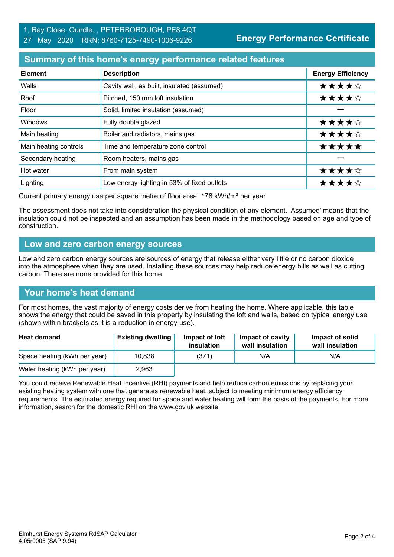## **Summary of this home's energy performance related features**

| <b>Element</b>        | <b>Description</b>                          | <b>Energy Efficiency</b> |
|-----------------------|---------------------------------------------|--------------------------|
| Walls                 | Cavity wall, as built, insulated (assumed)  | ★★★★☆                    |
| Roof                  | Pitched, 150 mm loft insulation             | ★★★★☆                    |
| Floor                 | Solid, limited insulation (assumed)         |                          |
| Windows               | Fully double glazed                         | ★★★★☆                    |
| Main heating          | Boiler and radiators, mains gas             | ★★★★☆                    |
| Main heating controls | Time and temperature zone control           | *****                    |
| Secondary heating     | Room heaters, mains gas                     |                          |
| Hot water             | From main system                            | ★★★★☆                    |
| Lighting              | Low energy lighting in 53% of fixed outlets | ★★★★☆                    |

Current primary energy use per square metre of floor area: 178 kWh/m² per year

The assessment does not take into consideration the physical condition of any element. 'Assumed' means that the insulation could not be inspected and an assumption has been made in the methodology based on age and type of construction.

#### **Low and zero carbon energy sources**

Low and zero carbon energy sources are sources of energy that release either very little or no carbon dioxide into the atmosphere when they are used. Installing these sources may help reduce energy bills as well as cutting carbon. There are none provided for this home.

## **Your home's heat demand**

For most homes, the vast majority of energy costs derive from heating the home. Where applicable, this table shows the energy that could be saved in this property by insulating the loft and walls, based on typical energy use (shown within brackets as it is a reduction in energy use).

| <b>Heat demand</b>           | <b>Existing dwelling</b> | Impact of loft<br>insulation | Impact of cavity<br>wall insulation | Impact of solid<br>wall insulation |
|------------------------------|--------------------------|------------------------------|-------------------------------------|------------------------------------|
| Space heating (kWh per year) | 10,838                   | (371)                        | N/A                                 | N/A                                |
| Water heating (kWh per year) | 2,963                    |                              |                                     |                                    |

You could receive Renewable Heat Incentive (RHI) payments and help reduce carbon emissions by replacing your existing heating system with one that generates renewable heat, subject to meeting minimum energy efficiency requirements. The estimated energy required for space and water heating will form the basis of the payments. For more information, search for the domestic RHI on the www.gov.uk website.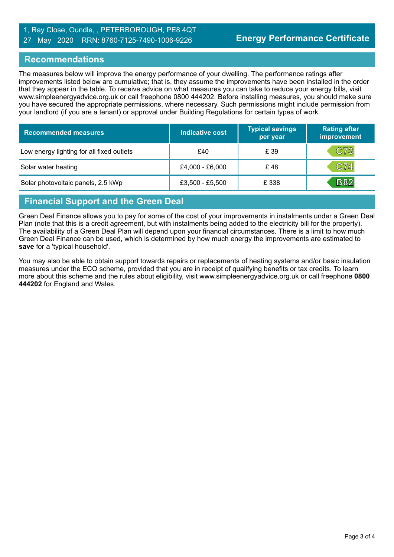### 1, Ray Close, Oundle, , PETERBOROUGH, PE8 4QT 27 May 2020 RRN: 8760-7125-7490-1006-9226

#### **Recommendations**

The measures below will improve the energy performance of your dwelling. The performance ratings after improvements listed below are cumulative; that is, they assume the improvements have been installed in the order that they appear in the table. To receive advice on what measures you can take to reduce your energy bills, visit www.simpleenergyadvice.org.uk or call freephone 0800 444202. Before installing measures, you should make sure you have secured the appropriate permissions, where necessary. Such permissions might include permission from your landlord (if you are a tenant) or approval under Building Regulations for certain types of work.

| <b>Recommended measures</b>               | Indicative cost | <b>Typical savings</b><br>per year | <b>Rating after</b><br>improvement |
|-------------------------------------------|-----------------|------------------------------------|------------------------------------|
| Low energy lighting for all fixed outlets | £40             | £ 39                               | C73                                |
| Solar water heating                       | £4,000 - £6,000 | £48                                | C74                                |
| Solar photovoltaic panels, 2.5 kWp        | £3,500 - £5,500 | £ 338                              | <b>B82</b>                         |

## **Financial Support and the Green Deal**

Green Deal Finance allows you to pay for some of the cost of your improvements in instalments under a Green Deal Plan (note that this is a credit agreement, but with instalments being added to the electricity bill for the property). The availability of a Green Deal Plan will depend upon your financial circumstances. There is a limit to how much Green Deal Finance can be used, which is determined by how much energy the improvements are estimated to **save** for a 'typical household'.

You may also be able to obtain support towards repairs or replacements of heating systems and/or basic insulation measures under the ECO scheme, provided that you are in receipt of qualifying benefits or tax credits. To learn more about this scheme and the rules about eligibility, visit www.simpleenergyadvice.org.uk or call freephone **0800 444202** for England and Wales.